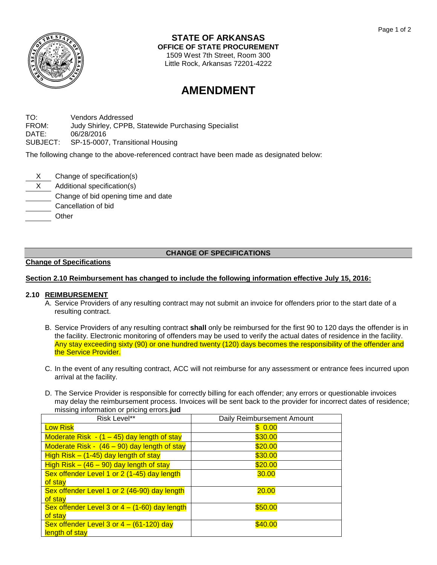

#### **STATE OF ARKANSAS OFFICE OF STATE PROCUREMENT**

1509 West 7th Street, Room 300 Little Rock, Arkansas 72201-4222

# **AMENDMENT**

TO: Vendors Addressed FROM: Judy Shirley, CPPB, Statewide Purchasing Specialist DATE: 06/28/2016 SUBJECT: SP-15-0007, Transitional Housing

The following change to the above-referenced contract have been made as designated below:

- X Change of specification(s)
- X Additional specification(s)
- Change of bid opening time and date
- Cancellation of bid
- **Other**

## **CHANGE OF SPECIFICATIONS**

### **Change of Specifications**

## **Section 2.10 Reimbursement has changed to include the following information effective July 15, 2016:**

### **2.10 REIMBURSEMENT**

- A. Service Providers of any resulting contract may not submit an invoice for offenders prior to the start date of a resulting contract.
- B. Service Providers of any resulting contract **shall** only be reimbursed for the first 90 to 120 days the offender is in the facility. Electronic monitoring of offenders may be used to verify the actual dates of residence in the facility. Any stay exceeding sixty (90) or one hundred twenty (120) days becomes the responsibility of the offender and the Service Provider.
- C. In the event of any resulting contract, ACC will not reimburse for any assessment or entrance fees incurred upon arrival at the facility.
- D. The Service Provider is responsible for correctly billing for each offender; any errors or questionable invoices may delay the reimbursement process. Invoices will be sent back to the provider for incorrect dates of residence; missing information or pricing errors.**jud**

| Risk Level**                                    | Daily Reimbursement Amount |
|-------------------------------------------------|----------------------------|
| <b>Low Risk</b>                                 | \$0.00                     |
| Moderate Risk $- (1 - 45)$ day length of stay   | \$30.00                    |
| Moderate Risk - (46 - 90) day length of stay    | \$20.00                    |
| High Risk $-$ (1-45) day length of stay         | \$30.00                    |
| High Risk $-$ (46 $-$ 90) day length of stay    | \$20.00                    |
| Sex offender Level 1 or 2 (1-45) day length     | 30.00                      |
| of stay                                         |                            |
| Sex offender Level 1 or 2 (46-90) day length    | <b>20.00</b>               |
| of stay                                         |                            |
| Sex offender Level 3 or $4 - (1-60)$ day length | \$50.00                    |
| of stay                                         |                            |
| Sex offender Level 3 or $4 - (61-120)$ day      | \$40.00                    |
| length of stay                                  |                            |